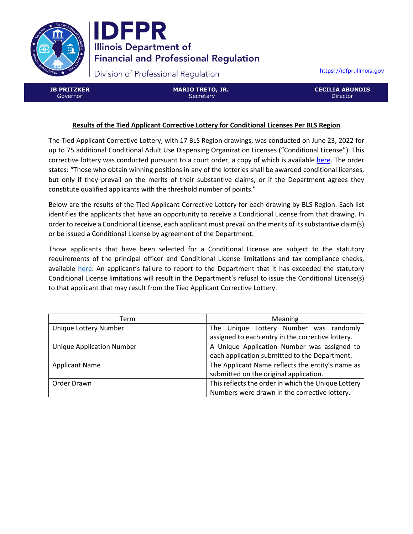



Division of Professional Regulation

[https://idfpr.illinois.gov](https://idfpr.illinois.gov/)

**JB PRITZKER** Governor

**MARIO TRETO, JR. Secretary** 

**CECILIA ABUNDIS Director** 

# **Results of the Tied Applicant Corrective Lottery for Conditional Licenses Per BLS Region**

The Tied Applicant Corrective Lottery, with 17 BLS Region drawings, was conducted on June 23, 2022 for up to 75 additional Conditional Adult Use Dispensing Organization Licenses ("Conditional License"). This corrective lottery was conducted pursuant to a court order, a copy of which is available [here.](https://idfpr.illinois.gov/Forms/AUC/2022%2005%2019%20Cannabis%20order.pdf) The order states: "Those who obtain winning positions in any of the lotteries shall be awarded conditional licenses, but only if they prevail on the merits of their substantive claims, or if the Department agrees they constitute qualified applicants with the threshold number of points."

Below are the results of the Tied Applicant Corrective Lottery for each drawing by BLS Region. Each list identifies the applicants that have an opportunity to receive a Conditional License from that drawing. In order to receive a Conditional License, each applicant must prevail on the merits of its substantive claim(s) or be issued a Conditional License by agreement of the Department.

Those applicants that have been selected for a Conditional License are subject to the statutory requirements of the principal officer and Conditional License limitations and tax compliance checks, available [here.](https://www.idfpr.com/Forms/AUC/FAQs%20for%20QAL%20SEJIL%20and%20TAL.pdf) An applicant's failure to report to the Department that it has exceeded the statutory Conditional License limitations will result in the Department's refusal to issue the Conditional License(s) to that applicant that may result from the Tied Applicant Corrective Lottery.

| Term                             | Meaning                                             |  |
|----------------------------------|-----------------------------------------------------|--|
| Unique Lottery Number            | The Unique Lottery Number was randomly              |  |
|                                  | assigned to each entry in the corrective lottery.   |  |
| <b>Unique Application Number</b> | A Unique Application Number was assigned to         |  |
|                                  | each application submitted to the Department.       |  |
| <b>Applicant Name</b>            | The Applicant Name reflects the entity's name as    |  |
|                                  | submitted on the original application.              |  |
| Order Drawn                      | This reflects the order in which the Unique Lottery |  |
|                                  | Numbers were drawn in the corrective lottery.       |  |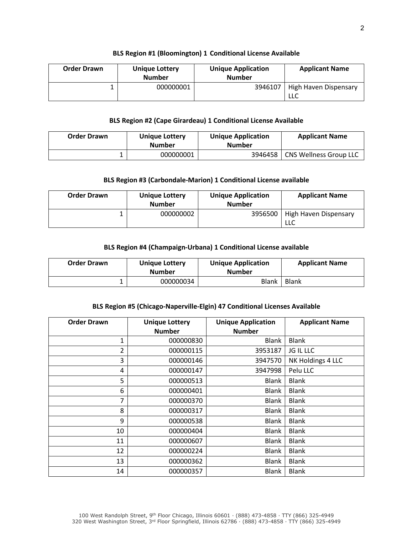### **BLS Region #1 (Bloomington) 1 Conditional License Available**

| <b>Order Drawn</b> | <b>Unique Lottery</b><br><b>Number</b> | <b>Unique Application</b><br><b>Number</b> | <b>Applicant Name</b>        |
|--------------------|----------------------------------------|--------------------------------------------|------------------------------|
|                    | 000000001                              | 3946107                                    | High Haven Dispensary<br>LLC |

## **BLS Region #2 (Cape Girardeau) 1 Conditional License Available**

| <b>Order Drawn</b> | <b>Unique Lottery</b><br><b>Number</b> | <b>Unique Application</b><br><b>Number</b> | <b>Applicant Name</b>         |
|--------------------|----------------------------------------|--------------------------------------------|-------------------------------|
|                    | 000000001                              | 3946458                                    | <b>CNS Wellness Group LLC</b> |

# **BLS Region #3 (Carbondale-Marion) 1 Conditional License available**

| <b>Order Drawn</b> | <b>Unique Lottery</b><br><b>Number</b> | <b>Unique Application</b><br><b>Number</b> | <b>Applicant Name</b>        |
|--------------------|----------------------------------------|--------------------------------------------|------------------------------|
|                    | 000000002                              | 3956500                                    | High Haven Dispensary<br>LLC |

## **BLS Region #4 (Champaign-Urbana) 1 Conditional License available**

| <b>Order Drawn</b> | <b>Unique Lottery</b><br><b>Number</b> | <b>Unique Application</b><br><b>Number</b> | <b>Applicant Name</b> |
|--------------------|----------------------------------------|--------------------------------------------|-----------------------|
|                    | 000000034                              | Blank                                      | Blank                 |

## **BLS Region #5 (Chicago-Naperville-Elgin) 47 Conditional Licenses Available**

| <b>Order Drawn</b> | <b>Unique Lottery</b> | <b>Unique Application</b> | <b>Applicant Name</b> |
|--------------------|-----------------------|---------------------------|-----------------------|
|                    | <b>Number</b>         | <b>Number</b>             |                       |
| 1                  | 000000830             | <b>Blank</b>              | <b>Blank</b>          |
| $\overline{2}$     | 000000115             | 3953187                   | JG IL LLC             |
| 3                  | 000000146             | 3947570                   | NK Holdings 4 LLC     |
| 4                  | 000000147             | 3947998                   | Pelu LLC              |
| 5                  | 000000513             | Blank                     | <b>Blank</b>          |
| 6                  | 000000401             | <b>Blank</b>              | <b>Blank</b>          |
| 7                  | 000000370             | <b>Blank</b>              | <b>Blank</b>          |
| 8                  | 000000317             | Blank                     | <b>Blank</b>          |
| 9                  | 000000538             | Blank                     | <b>Blank</b>          |
| 10                 | 000000404             | Blank                     | <b>Blank</b>          |
| 11                 | 000000607             | Blank                     | <b>Blank</b>          |
| 12                 | 000000224             | Blank                     | <b>Blank</b>          |
| 13                 | 000000362             | <b>Blank</b>              | <b>Blank</b>          |
| 14                 | 000000357             | <b>Blank</b>              | <b>Blank</b>          |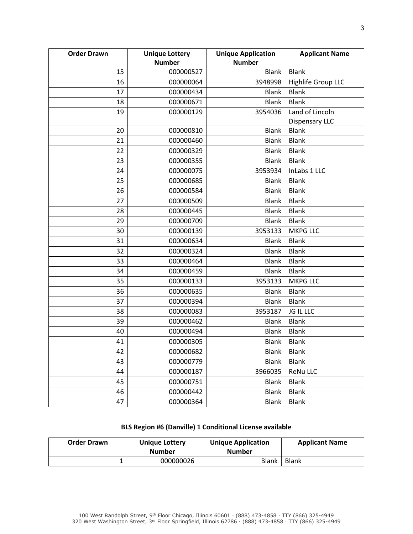| <b>Order Drawn</b> | <b>Unique Lottery</b> | <b>Unique Application</b>     | <b>Applicant Name</b>                 |
|--------------------|-----------------------|-------------------------------|---------------------------------------|
|                    | <b>Number</b>         | <b>Number</b><br><b>Blank</b> | <b>Blank</b>                          |
| 15                 | 000000527             |                               |                                       |
| 16                 | 000000064             | 3948998                       | Highlife Group LLC                    |
| 17                 | 000000434             | <b>Blank</b>                  | <b>Blank</b>                          |
| 18                 | 000000671             | <b>Blank</b>                  | <b>Blank</b>                          |
| 19                 | 000000129             | 3954036                       | Land of Lincoln                       |
|                    | 000000810             |                               | <b>Dispensary LLC</b><br><b>Blank</b> |
| 20                 |                       | <b>Blank</b>                  |                                       |
| 21                 | 000000460             | <b>Blank</b>                  | <b>Blank</b>                          |
| 22                 | 000000329             | <b>Blank</b>                  | <b>Blank</b>                          |
| 23                 | 000000355             | <b>Blank</b>                  | <b>Blank</b>                          |
| 24                 | 000000075             | 3953934                       | InLabs 1 LLC                          |
| 25                 | 000000685             | <b>Blank</b>                  | <b>Blank</b>                          |
| 26                 | 000000584             | <b>Blank</b>                  | <b>Blank</b>                          |
| 27                 | 000000509             | <b>Blank</b>                  | <b>Blank</b>                          |
| 28                 | 000000445             | <b>Blank</b>                  | <b>Blank</b>                          |
| 29                 | 000000709             | <b>Blank</b>                  | <b>Blank</b>                          |
| 30                 | 000000139             | 3953133                       | <b>MKPG LLC</b>                       |
| 31                 | 000000634             | <b>Blank</b>                  | <b>Blank</b>                          |
| 32                 | 000000324             | <b>Blank</b>                  | <b>Blank</b>                          |
| 33                 | 000000464             | <b>Blank</b>                  | <b>Blank</b>                          |
| 34                 | 000000459             | <b>Blank</b>                  | <b>Blank</b>                          |
| 35                 | 000000133             | 3953133                       | <b>MKPG LLC</b>                       |
| 36                 | 000000635             | <b>Blank</b>                  | <b>Blank</b>                          |
| 37                 | 000000394             | <b>Blank</b>                  | <b>Blank</b>                          |
| 38                 | 000000083             | 3953187                       | JG IL LLC                             |
| 39                 | 000000462             | <b>Blank</b>                  | <b>Blank</b>                          |
| 40                 | 000000494             | <b>Blank</b>                  | <b>Blank</b>                          |
| 41                 | 000000305             | <b>Blank</b>                  | <b>Blank</b>                          |
| 42                 | 000000682             | Blank                         | <b>Blank</b>                          |
| 43                 | 000000779             | <b>Blank</b>                  | <b>Blank</b>                          |
| 44                 | 000000187             | 3966035                       | <b>ReNu LLC</b>                       |
| 45                 | 000000751             | <b>Blank</b>                  | <b>Blank</b>                          |
| 46                 | 000000442             | <b>Blank</b>                  | Blank                                 |
| 47                 | 000000364             | <b>Blank</b>                  | <b>Blank</b>                          |
|                    |                       |                               |                                       |

# **BLS Region #6 (Danville) 1 Conditional License available**

| <b>Order Drawn</b> | <b>Unique Lottery</b><br>Number | <b>Unique Application</b><br><b>Number</b> | <b>Applicant Name</b> |
|--------------------|---------------------------------|--------------------------------------------|-----------------------|
|                    | 000000026                       | Blank                                      | <b>Blank</b>          |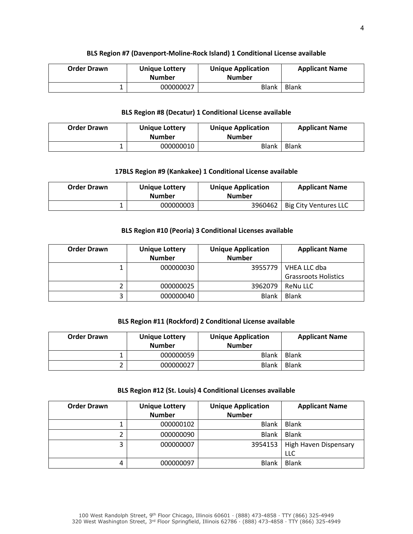#### **BLS Region #7 (Davenport-Moline-Rock Island) 1 Conditional License available**

| <b>Order Drawn</b> | <b>Unique Lottery</b><br><b>Number</b> | <b>Unique Application</b><br><b>Number</b> | <b>Applicant Name</b> |
|--------------------|----------------------------------------|--------------------------------------------|-----------------------|
|                    | 000000027                              | Blank                                      | <b>Blank</b>          |

# **BLS Region #8 (Decatur) 1 Conditional License available**

| <b>Order Drawn</b> | <b>Unique Lottery</b><br><b>Number</b> | <b>Unique Application</b><br><b>Number</b> | <b>Applicant Name</b> |
|--------------------|----------------------------------------|--------------------------------------------|-----------------------|
|                    | 000000010                              | Blank                                      | <b>Blank</b>          |

## **17BLS Region #9 (Kankakee) 1 Conditional License available**

| <b>Order Drawn</b> | <b>Unique Lottery</b><br><b>Number</b> | <b>Unique Application</b><br><b>Number</b> | <b>Applicant Name</b>           |
|--------------------|----------------------------------------|--------------------------------------------|---------------------------------|
|                    | 000000003                              |                                            | 3960462   Big City Ventures LLC |

# **BLS Region #10 (Peoria) 3 Conditional Licenses available**

| <b>Order Drawn</b> | <b>Unique Lottery</b><br><b>Number</b> | <b>Unique Application</b><br><b>Number</b> | <b>Applicant Name</b>                       |
|--------------------|----------------------------------------|--------------------------------------------|---------------------------------------------|
|                    | 000000030                              | 3955779                                    | VHEA LLC dba<br><b>Grassroots Holistics</b> |
|                    | 000000025                              | 3962079                                    | <b>ReNu LLC</b>                             |
|                    | 000000040                              | <b>Blank</b>                               | <b>Blank</b>                                |

# **BLS Region #11 (Rockford) 2 Conditional License available**

| <b>Order Drawn</b> | <b>Unique Lottery</b><br><b>Number</b> | <b>Unique Application</b><br><b>Number</b> | <b>Applicant Name</b> |
|--------------------|----------------------------------------|--------------------------------------------|-----------------------|
|                    | 000000059                              | <b>Blank</b>                               | <b>Blank</b>          |
|                    | 000000027                              | <b>Blank</b>                               | <b>Blank</b>          |

#### **BLS Region #12 (St. Louis) 4 Conditional Licenses available**

| <b>Order Drawn</b> | <b>Unique Lottery</b> | <b>Unique Application</b> | <b>Applicant Name</b> |
|--------------------|-----------------------|---------------------------|-----------------------|
|                    | <b>Number</b>         | <b>Number</b>             |                       |
|                    | 000000102             | <b>Blank</b>              | <b>Blank</b>          |
|                    | 000000090             | <b>Blank</b>              | <b>Blank</b>          |
| э                  | 000000007             | 3954153                   | High Haven Dispensary |
|                    |                       |                           | LLC                   |
| 4                  | 000000097             | <b>Blank</b>              | <b>Blank</b>          |